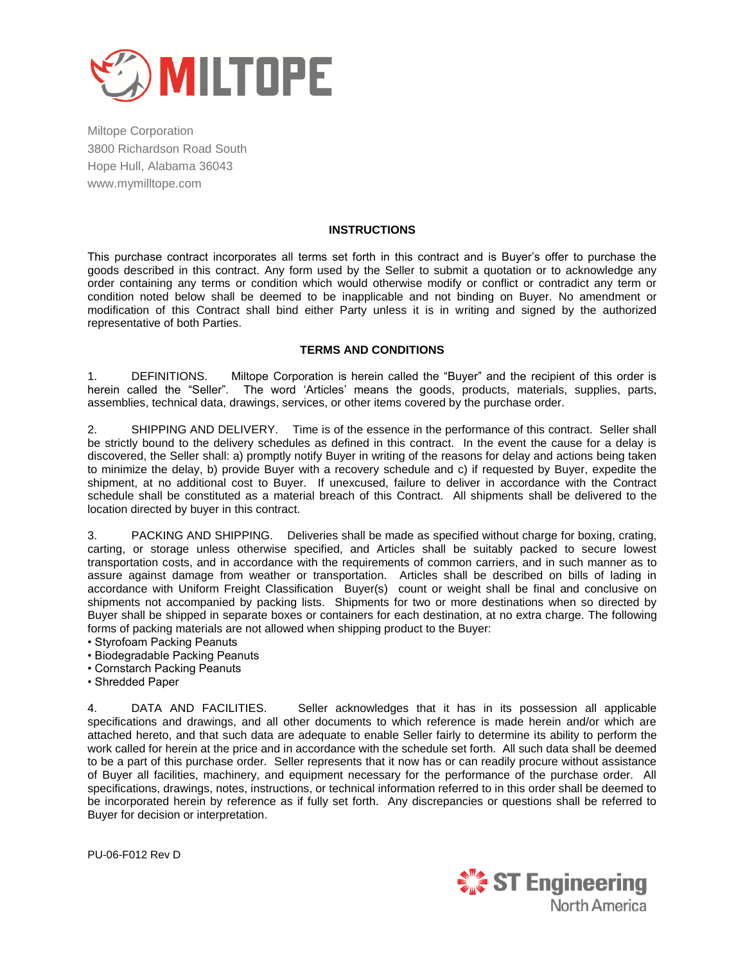

## **INSTRUCTIONS**

This purchase contract incorporates all terms set forth in this contract and is Buyer's offer to purchase the goods described in this contract. Any form used by the Seller to submit a quotation or to acknowledge any order containing any terms or condition which would otherwise modify or conflict or contradict any term or condition noted below shall be deemed to be inapplicable and not binding on Buyer. No amendment or modification of this Contract shall bind either Party unless it is in writing and signed by the authorized representative of both Parties.

## **TERMS AND CONDITIONS**

1. DEFINITIONS. Miltope Corporation is herein called the "Buyer" and the recipient of this order is herein called the "Seller". The word 'Articles' means the goods, products, materials, supplies, parts, assemblies, technical data, drawings, services, or other items covered by the purchase order.

2. SHIPPING AND DELIVERY. Time is of the essence in the performance of this contract. Seller shall be strictly bound to the delivery schedules as defined in this contract. In the event the cause for a delay is discovered, the Seller shall: a) promptly notify Buyer in writing of the reasons for delay and actions being taken to minimize the delay, b) provide Buyer with a recovery schedule and c) if requested by Buyer, expedite the shipment, at no additional cost to Buyer. If unexcused, failure to deliver in accordance with the Contract schedule shall be constituted as a material breach of this Contract. All shipments shall be delivered to the location directed by buyer in this contract.

3. PACKING AND SHIPPING. Deliveries shall be made as specified without charge for boxing, crating, carting, or storage unless otherwise specified, and Articles shall be suitably packed to secure lowest transportation costs, and in accordance with the requirements of common carriers, and in such manner as to assure against damage from weather or transportation. Articles shall be described on bills of lading in accordance with Uniform Freight Classification Buyer(s) count or weight shall be final and conclusive on shipments not accompanied by packing lists. Shipments for two or more destinations when so directed by Buyer shall be shipped in separate boxes or containers for each destination, at no extra charge. The following forms of packing materials are not allowed when shipping product to the Buyer:

- Styrofoam Packing Peanuts
- Biodegradable Packing Peanuts
- Cornstarch Packing Peanuts
- Shredded Paper

4. DATA AND FACILITIES. Seller acknowledges that it has in its possession all applicable specifications and drawings, and all other documents to which reference is made herein and/or which are attached hereto, and that such data are adequate to enable Seller fairly to determine its ability to perform the work called for herein at the price and in accordance with the schedule set forth. All such data shall be deemed to be a part of this purchase order. Seller represents that it now has or can readily procure without assistance of Buyer all facilities, machinery, and equipment necessary for the performance of the purchase order. All specifications, drawings, notes, instructions, or technical information referred to in this order shall be deemed to be incorporated herein by reference as if fully set forth. Any discrepancies or questions shall be referred to Buyer for decision or interpretation.

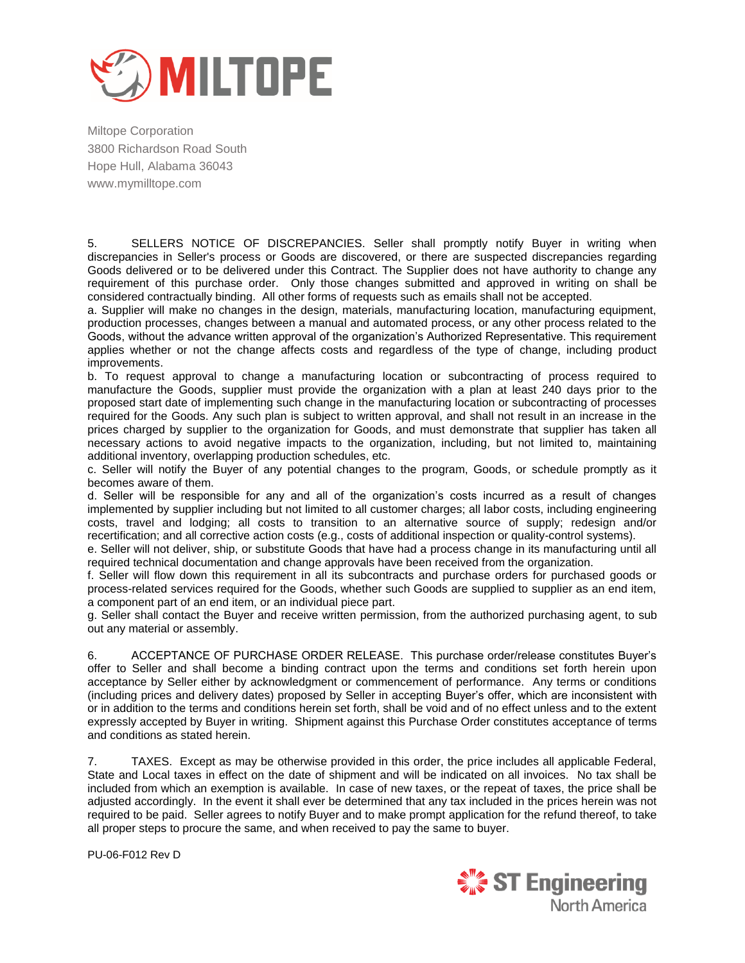

5. SELLERS NOTICE OF DISCREPANCIES. Seller shall promptly notify Buyer in writing when discrepancies in Seller's process or Goods are discovered, or there are suspected discrepancies regarding Goods delivered or to be delivered under this Contract. The Supplier does not have authority to change any requirement of this purchase order. Only those changes submitted and approved in writing on shall be considered contractually binding. All other forms of requests such as emails shall not be accepted.

a. Supplier will make no changes in the design, materials, manufacturing location, manufacturing equipment, production processes, changes between a manual and automated process, or any other process related to the Goods, without the advance written approval of the organization's Authorized Representative. This requirement applies whether or not the change affects costs and regardless of the type of change, including product improvements.

b. To request approval to change a manufacturing location or subcontracting of process required to manufacture the Goods, supplier must provide the organization with a plan at least 240 days prior to the proposed start date of implementing such change in the manufacturing location or subcontracting of processes required for the Goods. Any such plan is subject to written approval, and shall not result in an increase in the prices charged by supplier to the organization for Goods, and must demonstrate that supplier has taken all necessary actions to avoid negative impacts to the organization, including, but not limited to, maintaining additional inventory, overlapping production schedules, etc.

c. Seller will notify the Buyer of any potential changes to the program, Goods, or schedule promptly as it becomes aware of them.

d. Seller will be responsible for any and all of the organization's costs incurred as a result of changes implemented by supplier including but not limited to all customer charges; all labor costs, including engineering costs, travel and lodging; all costs to transition to an alternative source of supply; redesign and/or recertification; and all corrective action costs (e.g., costs of additional inspection or quality-control systems).

e. Seller will not deliver, ship, or substitute Goods that have had a process change in its manufacturing until all required technical documentation and change approvals have been received from the organization.

f. Seller will flow down this requirement in all its subcontracts and purchase orders for purchased goods or process-related services required for the Goods, whether such Goods are supplied to supplier as an end item, a component part of an end item, or an individual piece part.

g. Seller shall contact the Buyer and receive written permission, from the authorized purchasing agent, to sub out any material or assembly.

6. ACCEPTANCE OF PURCHASE ORDER RELEASE. This purchase order/release constitutes Buyer's offer to Seller and shall become a binding contract upon the terms and conditions set forth herein upon acceptance by Seller either by acknowledgment or commencement of performance. Any terms or conditions (including prices and delivery dates) proposed by Seller in accepting Buyer's offer, which are inconsistent with or in addition to the terms and conditions herein set forth, shall be void and of no effect unless and to the extent expressly accepted by Buyer in writing. Shipment against this Purchase Order constitutes acceptance of terms and conditions as stated herein.

7. TAXES. Except as may be otherwise provided in this order, the price includes all applicable Federal, State and Local taxes in effect on the date of shipment and will be indicated on all invoices. No tax shall be included from which an exemption is available. In case of new taxes, or the repeat of taxes, the price shall be adjusted accordingly. In the event it shall ever be determined that any tax included in the prices herein was not required to be paid. Seller agrees to notify Buyer and to make prompt application for the refund thereof, to take all proper steps to procure the same, and when received to pay the same to buyer.

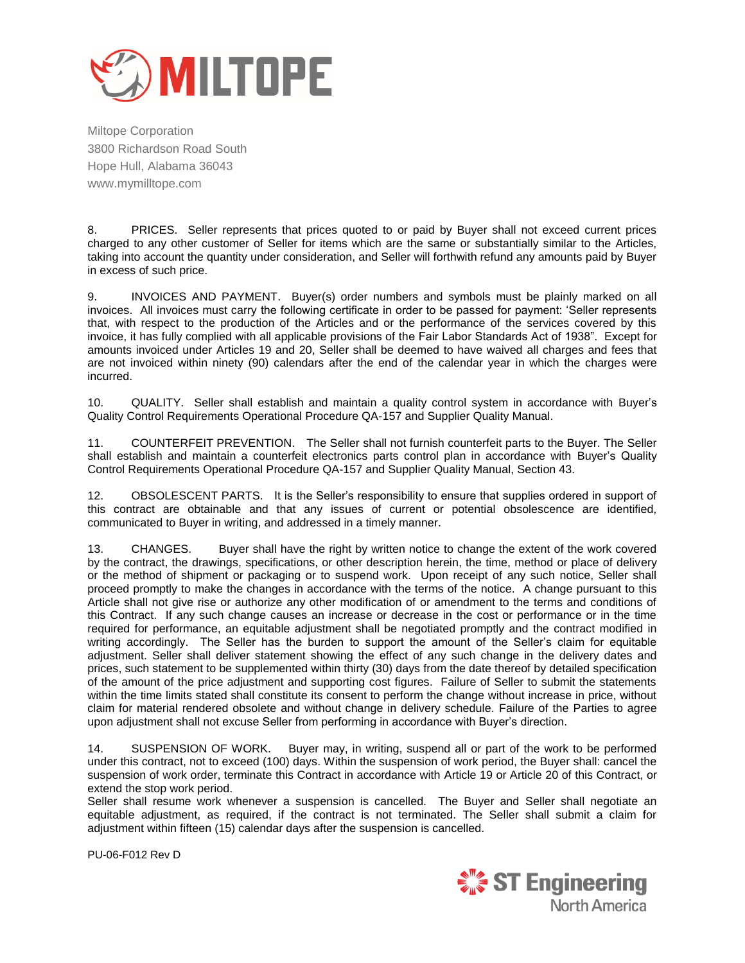

8. PRICES. Seller represents that prices quoted to or paid by Buyer shall not exceed current prices charged to any other customer of Seller for items which are the same or substantially similar to the Articles, taking into account the quantity under consideration, and Seller will forthwith refund any amounts paid by Buyer in excess of such price.

9. INVOICES AND PAYMENT. Buyer(s) order numbers and symbols must be plainly marked on all invoices. All invoices must carry the following certificate in order to be passed for payment: 'Seller represents that, with respect to the production of the Articles and or the performance of the services covered by this invoice, it has fully complied with all applicable provisions of the Fair Labor Standards Act of 1938". Except for amounts invoiced under Articles 19 and 20, Seller shall be deemed to have waived all charges and fees that are not invoiced within ninety (90) calendars after the end of the calendar year in which the charges were incurred.

10. QUALITY. Seller shall establish and maintain a quality control system in accordance with Buyer's Quality Control Requirements Operational Procedure QA-157 and Supplier Quality Manual.

11. COUNTERFEIT PREVENTION. The Seller shall not furnish counterfeit parts to the Buyer. The Seller shall establish and maintain a counterfeit electronics parts control plan in accordance with Buyer's Quality Control Requirements Operational Procedure QA-157 and Supplier Quality Manual, Section 43.

12. OBSOLESCENT PARTS. It is the Seller's responsibility to ensure that supplies ordered in support of this contract are obtainable and that any issues of current or potential obsolescence are identified, communicated to Buyer in writing, and addressed in a timely manner.

13. CHANGES. Buyer shall have the right by written notice to change the extent of the work covered by the contract, the drawings, specifications, or other description herein, the time, method or place of delivery or the method of shipment or packaging or to suspend work. Upon receipt of any such notice, Seller shall proceed promptly to make the changes in accordance with the terms of the notice. A change pursuant to this Article shall not give rise or authorize any other modification of or amendment to the terms and conditions of this Contract. If any such change causes an increase or decrease in the cost or performance or in the time required for performance, an equitable adjustment shall be negotiated promptly and the contract modified in writing accordingly. The Seller has the burden to support the amount of the Seller's claim for equitable adjustment. Seller shall deliver statement showing the effect of any such change in the delivery dates and prices, such statement to be supplemented within thirty (30) days from the date thereof by detailed specification of the amount of the price adjustment and supporting cost figures. Failure of Seller to submit the statements within the time limits stated shall constitute its consent to perform the change without increase in price, without claim for material rendered obsolete and without change in delivery schedule. Failure of the Parties to agree upon adjustment shall not excuse Seller from performing in accordance with Buyer's direction.

14. SUSPENSION OF WORK. Buyer may, in writing, suspend all or part of the work to be performed under this contract, not to exceed (100) days. Within the suspension of work period, the Buyer shall: cancel the suspension of work order, terminate this Contract in accordance with Article 19 or Article 20 of this Contract, or extend the stop work period.

Seller shall resume work whenever a suspension is cancelled. The Buyer and Seller shall negotiate an equitable adjustment, as required, if the contract is not terminated. The Seller shall submit a claim for adjustment within fifteen (15) calendar days after the suspension is cancelled.

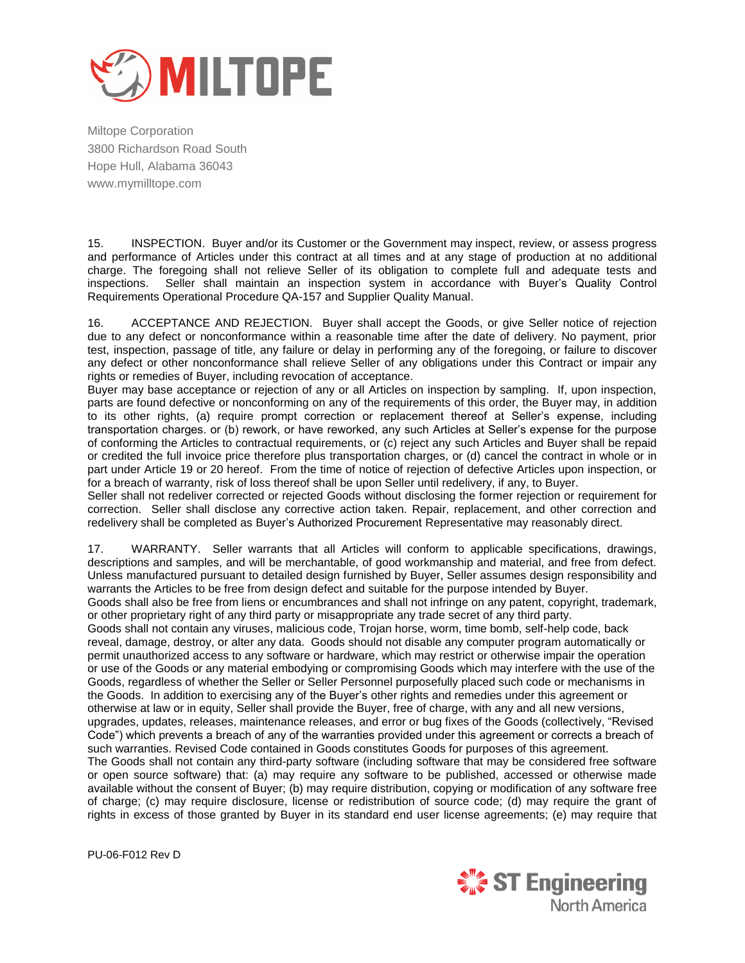

15. INSPECTION. Buyer and/or its Customer or the Government may inspect, review, or assess progress and performance of Articles under this contract at all times and at any stage of production at no additional charge. The foregoing shall not relieve Seller of its obligation to complete full and adequate tests and inspections. Seller shall maintain an inspection system in accordance with Buyer's Quality Control Requirements Operational Procedure QA-157 and Supplier Quality Manual.

16. ACCEPTANCE AND REJECTION. Buyer shall accept the Goods, or give Seller notice of rejection due to any defect or nonconformance within a reasonable time after the date of delivery. No payment, prior test, inspection, passage of title, any failure or delay in performing any of the foregoing, or failure to discover any defect or other nonconformance shall relieve Seller of any obligations under this Contract or impair any rights or remedies of Buyer, including revocation of acceptance.

Buyer may base acceptance or rejection of any or all Articles on inspection by sampling. If, upon inspection, parts are found defective or nonconforming on any of the requirements of this order, the Buyer may, in addition to its other rights, (a) require prompt correction or replacement thereof at Seller's expense, including transportation charges. or (b) rework, or have reworked, any such Articles at Seller's expense for the purpose of conforming the Articles to contractual requirements, or (c) reject any such Articles and Buyer shall be repaid or credited the full invoice price therefore plus transportation charges, or (d) cancel the contract in whole or in part under Article 19 or 20 hereof. From the time of notice of rejection of defective Articles upon inspection, or for a breach of warranty, risk of loss thereof shall be upon Seller until redelivery, if any, to Buyer.

Seller shall not redeliver corrected or rejected Goods without disclosing the former rejection or requirement for correction. Seller shall disclose any corrective action taken. Repair, replacement, and other correction and redelivery shall be completed as Buyer's Authorized Procurement Representative may reasonably direct.

17. WARRANTY. Seller warrants that all Articles will conform to applicable specifications, drawings, descriptions and samples, and will be merchantable, of good workmanship and material, and free from defect. Unless manufactured pursuant to detailed design furnished by Buyer, Seller assumes design responsibility and warrants the Articles to be free from design defect and suitable for the purpose intended by Buyer.

Goods shall also be free from liens or encumbrances and shall not infringe on any patent, copyright, trademark, or other proprietary right of any third party or misappropriate any trade secret of any third party.

Goods shall not contain any viruses, malicious code, Trojan horse, worm, time bomb, self-help code, back reveal, damage, destroy, or alter any data. Goods should not disable any computer program automatically or permit unauthorized access to any software or hardware, which may restrict or otherwise impair the operation or use of the Goods or any material embodying or compromising Goods which may interfere with the use of the Goods, regardless of whether the Seller or Seller Personnel purposefully placed such code or mechanisms in the Goods. In addition to exercising any of the Buyer's other rights and remedies under this agreement or otherwise at law or in equity, Seller shall provide the Buyer, free of charge, with any and all new versions, upgrades, updates, releases, maintenance releases, and error or bug fixes of the Goods (collectively, "Revised Code") which prevents a breach of any of the warranties provided under this agreement or corrects a breach of such warranties. Revised Code contained in Goods constitutes Goods for purposes of this agreement. The Goods shall not contain any third-party software (including software that may be considered free software or open source software) that: (a) may require any software to be published, accessed or otherwise made available without the consent of Buyer; (b) may require distribution, copying or modification of any software free of charge; (c) may require disclosure, license or redistribution of source code; (d) may require the grant of rights in excess of those granted by Buyer in its standard end user license agreements; (e) may require that

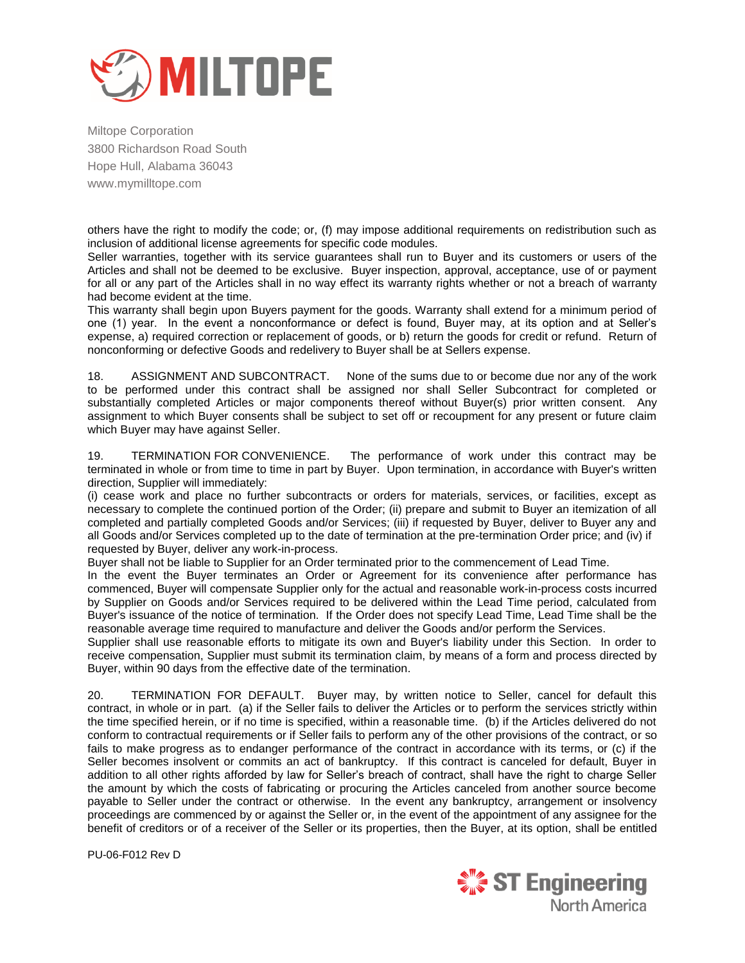

others have the right to modify the code; or, (f) may impose additional requirements on redistribution such as inclusion of additional license agreements for specific code modules.

Seller warranties, together with its service guarantees shall run to Buyer and its customers or users of the Articles and shall not be deemed to be exclusive. Buyer inspection, approval, acceptance, use of or payment for all or any part of the Articles shall in no way effect its warranty rights whether or not a breach of warranty had become evident at the time.

This warranty shall begin upon Buyers payment for the goods. Warranty shall extend for a minimum period of one (1) year. In the event a nonconformance or defect is found, Buyer may, at its option and at Seller's expense, a) required correction or replacement of goods, or b) return the goods for credit or refund. Return of nonconforming or defective Goods and redelivery to Buyer shall be at Sellers expense.

18. ASSIGNMENT AND SUBCONTRACT. None of the sums due to or become due nor any of the work to be performed under this contract shall be assigned nor shall Seller Subcontract for completed or substantially completed Articles or major components thereof without Buyer(s) prior written consent. Any assignment to which Buyer consents shall be subject to set off or recoupment for any present or future claim which Buyer may have against Seller.

19. TERMINATION FOR CONVENIENCE. The performance of work under this contract may be terminated in whole or from time to time in part by Buyer. Upon termination, in accordance with Buyer's written direction, Supplier will immediately:

(i) cease work and place no further subcontracts or orders for materials, services, or facilities, except as necessary to complete the continued portion of the Order; (ii) prepare and submit to Buyer an itemization of all completed and partially completed Goods and/or Services; (iii) if requested by Buyer, deliver to Buyer any and all Goods and/or Services completed up to the date of termination at the pre-termination Order price; and (iv) if requested by Buyer, deliver any work-in-process.

Buyer shall not be liable to Supplier for an Order terminated prior to the commencement of Lead Time.

In the event the Buyer terminates an Order or Agreement for its convenience after performance has commenced, Buyer will compensate Supplier only for the actual and reasonable work-in-process costs incurred by Supplier on Goods and/or Services required to be delivered within the Lead Time period, calculated from Buyer's issuance of the notice of termination. If the Order does not specify Lead Time, Lead Time shall be the reasonable average time required to manufacture and deliver the Goods and/or perform the Services.

Supplier shall use reasonable efforts to mitigate its own and Buyer's liability under this Section. In order to receive compensation, Supplier must submit its termination claim, by means of a form and process directed by Buyer, within 90 days from the effective date of the termination.

20. TERMINATION FOR DEFAULT. Buyer may, by written notice to Seller, cancel for default this contract, in whole or in part. (a) if the Seller fails to deliver the Articles or to perform the services strictly within the time specified herein, or if no time is specified, within a reasonable time. (b) if the Articles delivered do not conform to contractual requirements or if Seller fails to perform any of the other provisions of the contract, or so fails to make progress as to endanger performance of the contract in accordance with its terms, or (c) if the Seller becomes insolvent or commits an act of bankruptcy. If this contract is canceled for default, Buyer in addition to all other rights afforded by law for Seller's breach of contract, shall have the right to charge Seller the amount by which the costs of fabricating or procuring the Articles canceled from another source become payable to Seller under the contract or otherwise. In the event any bankruptcy, arrangement or insolvency proceedings are commenced by or against the Seller or, in the event of the appointment of any assignee for the benefit of creditors or of a receiver of the Seller or its properties, then the Buyer, at its option, shall be entitled

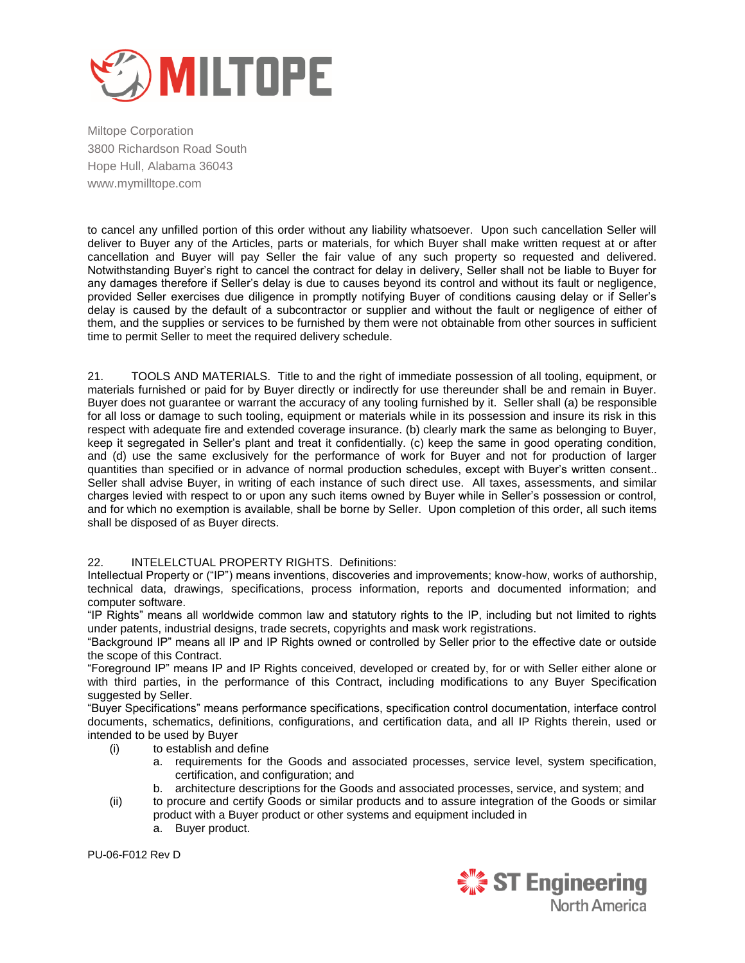

to cancel any unfilled portion of this order without any liability whatsoever. Upon such cancellation Seller will deliver to Buyer any of the Articles, parts or materials, for which Buyer shall make written request at or after cancellation and Buyer will pay Seller the fair value of any such property so requested and delivered. Notwithstanding Buyer's right to cancel the contract for delay in delivery, Seller shall not be liable to Buyer for any damages therefore if Seller's delay is due to causes beyond its control and without its fault or negligence, provided Seller exercises due diligence in promptly notifying Buyer of conditions causing delay or if Seller's delay is caused by the default of a subcontractor or supplier and without the fault or negligence of either of them, and the supplies or services to be furnished by them were not obtainable from other sources in sufficient time to permit Seller to meet the required delivery schedule.

21. TOOLS AND MATERIALS. Title to and the right of immediate possession of all tooling, equipment, or materials furnished or paid for by Buyer directly or indirectly for use thereunder shall be and remain in Buyer. Buyer does not guarantee or warrant the accuracy of any tooling furnished by it. Seller shall (a) be responsible for all loss or damage to such tooling, equipment or materials while in its possession and insure its risk in this respect with adequate fire and extended coverage insurance. (b) clearly mark the same as belonging to Buyer, keep it segregated in Seller's plant and treat it confidentially. (c) keep the same in good operating condition, and (d) use the same exclusively for the performance of work for Buyer and not for production of larger quantities than specified or in advance of normal production schedules, except with Buyer's written consent.. Seller shall advise Buyer, in writing of each instance of such direct use. All taxes, assessments, and similar charges levied with respect to or upon any such items owned by Buyer while in Seller's possession or control, and for which no exemption is available, shall be borne by Seller. Upon completion of this order, all such items shall be disposed of as Buyer directs.

## 22. INTELELCTUAL PROPERTY RIGHTS. Definitions:

Intellectual Property or ("IP") means inventions, discoveries and improvements; know-how, works of authorship, technical data, drawings, specifications, process information, reports and documented information; and computer software.

"IP Rights" means all worldwide common law and statutory rights to the IP, including but not limited to rights under patents, industrial designs, trade secrets, copyrights and mask work registrations.

"Background IP" means all IP and IP Rights owned or controlled by Seller prior to the effective date or outside the scope of this Contract.

"Foreground IP" means IP and IP Rights conceived, developed or created by, for or with Seller either alone or with third parties, in the performance of this Contract, including modifications to any Buyer Specification suggested by Seller.

"Buyer Specifications" means performance specifications, specification control documentation, interface control documents, schematics, definitions, configurations, and certification data, and all IP Rights therein, used or intended to be used by Buyer

- (i) to establish and define
	- a. requirements for the Goods and associated processes, service level, system specification, certification, and configuration; and
	- b. architecture descriptions for the Goods and associated processes, service, and system; and
- (ii) to procure and certify Goods or similar products and to assure integration of the Goods or similar product with a Buyer product or other systems and equipment included in
	- a. Buyer product.

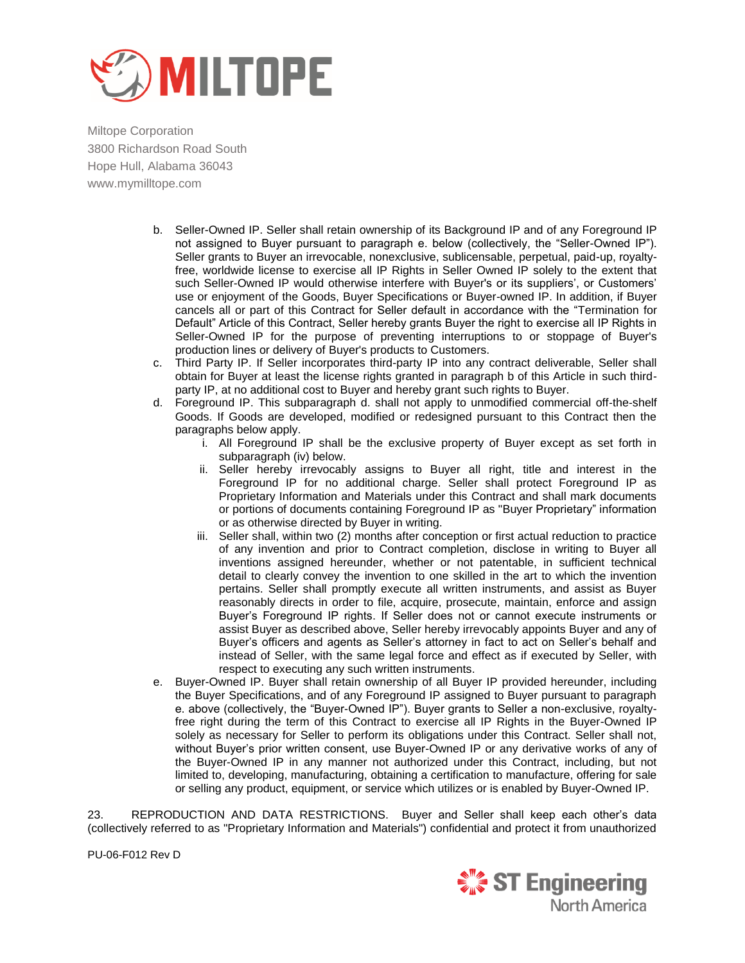

- b. Seller-Owned IP. Seller shall retain ownership of its Background IP and of any Foreground IP not assigned to Buyer pursuant to paragraph e. below (collectively, the "Seller-Owned IP"). Seller grants to Buyer an irrevocable, nonexclusive, sublicensable, perpetual, paid-up, royaltyfree, worldwide license to exercise all IP Rights in Seller Owned IP solely to the extent that such Seller-Owned IP would otherwise interfere with Buyer's or its suppliers', or Customers' use or enjoyment of the Goods, Buyer Specifications or Buyer-owned IP. In addition, if Buyer cancels all or part of this Contract for Seller default in accordance with the "Termination for Default" Article of this Contract, Seller hereby grants Buyer the right to exercise all IP Rights in Seller-Owned IP for the purpose of preventing interruptions to or stoppage of Buyer's production lines or delivery of Buyer's products to Customers.
- c. Third Party IP. If Seller incorporates third-party IP into any contract deliverable, Seller shall obtain for Buyer at least the license rights granted in paragraph b of this Article in such thirdparty IP, at no additional cost to Buyer and hereby grant such rights to Buyer.
- d. Foreground IP. This subparagraph d. shall not apply to unmodified commercial off‐the‐shelf Goods. If Goods are developed, modified or redesigned pursuant to this Contract then the paragraphs below apply.
	- i. All Foreground IP shall be the exclusive property of Buyer except as set forth in subparagraph (iv) below.
	- ii. Seller hereby irrevocably assigns to Buyer all right, title and interest in the Foreground IP for no additional charge. Seller shall protect Foreground IP as Proprietary Information and Materials under this Contract and shall mark documents or portions of documents containing Foreground IP as "Buyer Proprietary" information or as otherwise directed by Buyer in writing.
	- iii. Seller shall, within two (2) months after conception or first actual reduction to practice of any invention and prior to Contract completion, disclose in writing to Buyer all inventions assigned hereunder, whether or not patentable, in sufficient technical detail to clearly convey the invention to one skilled in the art to which the invention pertains. Seller shall promptly execute all written instruments, and assist as Buyer reasonably directs in order to file, acquire, prosecute, maintain, enforce and assign Buyer's Foreground IP rights. If Seller does not or cannot execute instruments or assist Buyer as described above, Seller hereby irrevocably appoints Buyer and any of Buyer's officers and agents as Seller's attorney in fact to act on Seller's behalf and instead of Seller, with the same legal force and effect as if executed by Seller, with respect to executing any such written instruments.
- e. Buyer-Owned IP. Buyer shall retain ownership of all Buyer IP provided hereunder, including the Buyer Specifications, and of any Foreground IP assigned to Buyer pursuant to paragraph e. above (collectively, the "Buyer-Owned IP"). Buyer grants to Seller a non-exclusive, royaltyfree right during the term of this Contract to exercise all IP Rights in the Buyer-Owned IP solely as necessary for Seller to perform its obligations under this Contract. Seller shall not, without Buyer's prior written consent, use Buyer-Owned IP or any derivative works of any of the Buyer-Owned IP in any manner not authorized under this Contract, including, but not limited to, developing, manufacturing, obtaining a certification to manufacture, offering for sale or selling any product, equipment, or service which utilizes or is enabled by Buyer-Owned IP.

23. REPRODUCTION AND DATA RESTRICTIONS. Buyer and Seller shall keep each other's data (collectively referred to as "Proprietary Information and Materials") confidential and protect it from unauthorized

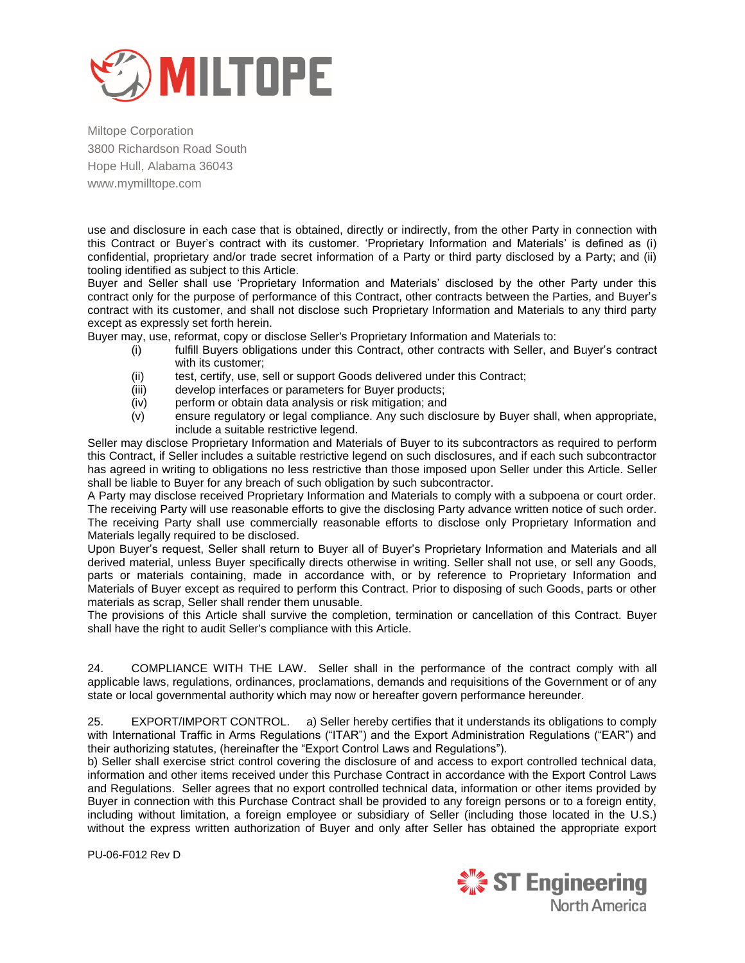

use and disclosure in each case that is obtained, directly or indirectly, from the other Party in connection with this Contract or Buyer's contract with its customer. 'Proprietary Information and Materials' is defined as (i) confidential, proprietary and/or trade secret information of a Party or third party disclosed by a Party; and (ii) tooling identified as subject to this Article.

Buyer and Seller shall use 'Proprietary Information and Materials' disclosed by the other Party under this contract only for the purpose of performance of this Contract, other contracts between the Parties, and Buyer's contract with its customer, and shall not disclose such Proprietary Information and Materials to any third party except as expressly set forth herein.

Buyer may, use, reformat, copy or disclose Seller's Proprietary Information and Materials to:

- (i) fulfill Buyers obligations under this Contract, other contracts with Seller, and Buyer's contract with its customer;
- (ii) test, certify, use, sell or support Goods delivered under this Contract;
- (iii) develop interfaces or parameters for Buyer products;<br>(iv) perform or obtain data analysis or risk mitigation; and
- perform or obtain data analysis or risk mitigation; and
- (v) ensure regulatory or legal compliance. Any such disclosure by Buyer shall, when appropriate, include a suitable restrictive legend.

Seller may disclose Proprietary Information and Materials of Buyer to its subcontractors as required to perform this Contract, if Seller includes a suitable restrictive legend on such disclosures, and if each such subcontractor has agreed in writing to obligations no less restrictive than those imposed upon Seller under this Article. Seller shall be liable to Buyer for any breach of such obligation by such subcontractor.

A Party may disclose received Proprietary Information and Materials to comply with a subpoena or court order. The receiving Party will use reasonable efforts to give the disclosing Party advance written notice of such order. The receiving Party shall use commercially reasonable efforts to disclose only Proprietary Information and Materials legally required to be disclosed.

Upon Buyer's request, Seller shall return to Buyer all of Buyer's Proprietary Information and Materials and all derived material, unless Buyer specifically directs otherwise in writing. Seller shall not use, or sell any Goods, parts or materials containing, made in accordance with, or by reference to Proprietary Information and Materials of Buyer except as required to perform this Contract. Prior to disposing of such Goods, parts or other materials as scrap, Seller shall render them unusable.

The provisions of this Article shall survive the completion, termination or cancellation of this Contract. Buyer shall have the right to audit Seller's compliance with this Article.

24. COMPLIANCE WITH THE LAW. Seller shall in the performance of the contract comply with all applicable laws, regulations, ordinances, proclamations, demands and requisitions of the Government or of any state or local governmental authority which may now or hereafter govern performance hereunder.

25. EXPORT/IMPORT CONTROL. a) Seller hereby certifies that it understands its obligations to comply with International Traffic in Arms Regulations ("ITAR") and the Export Administration Regulations ("EAR") and their authorizing statutes, (hereinafter the "Export Control Laws and Regulations").

b) Seller shall exercise strict control covering the disclosure of and access to export controlled technical data, information and other items received under this Purchase Contract in accordance with the Export Control Laws and Regulations. Seller agrees that no export controlled technical data, information or other items provided by Buyer in connection with this Purchase Contract shall be provided to any foreign persons or to a foreign entity, including without limitation, a foreign employee or subsidiary of Seller (including those located in the U.S.) without the express written authorization of Buyer and only after Seller has obtained the appropriate export

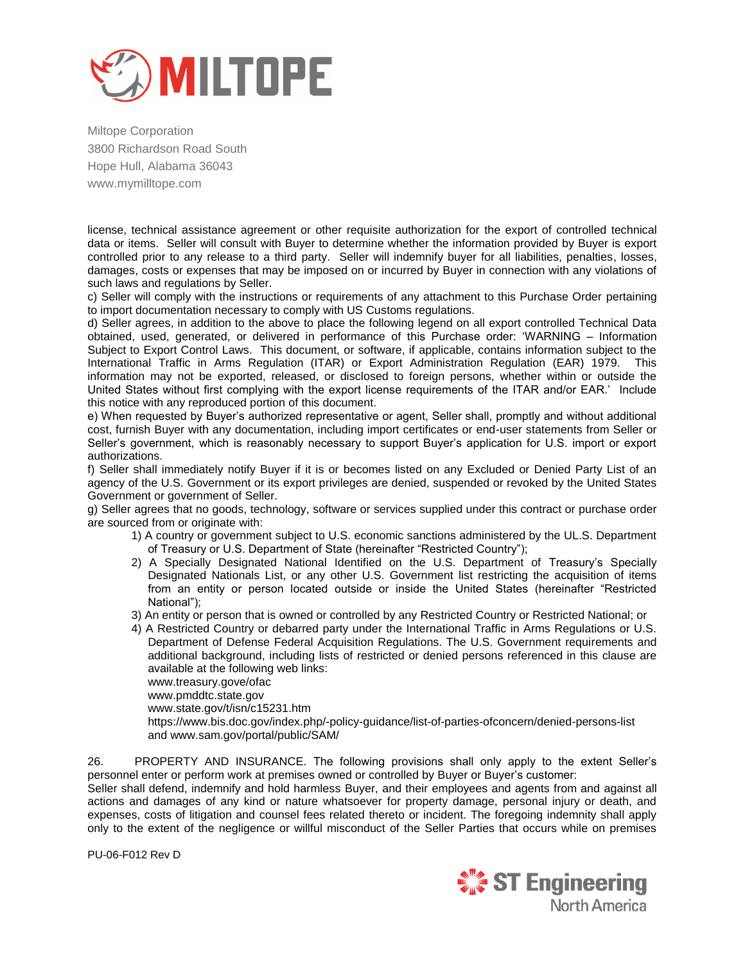

license, technical assistance agreement or other requisite authorization for the export of controlled technical data or items. Seller will consult with Buyer to determine whether the information provided by Buyer is export controlled prior to any release to a third party. Seller will indemnify buyer for all liabilities, penalties, losses, damages, costs or expenses that may be imposed on or incurred by Buyer in connection with any violations of such laws and regulations by Seller.

c) Seller will comply with the instructions or requirements of any attachment to this Purchase Order pertaining to import documentation necessary to comply with US Customs regulations.

d) Seller agrees, in addition to the above to place the following legend on all export controlled Technical Data obtained, used, generated, or delivered in performance of this Purchase order: 'WARNING – Information Subiect to Export Control Laws. This document, or software, if applicable, contains information subject to the International Traffic in Arms Regulation (ITAR) or Export Administration Regulation (EAR) 1979. This information may not be exported, released, or disclosed to foreign persons, whether within or outside the United States without first complying with the export license requirements of the ITAR and/or EAR.' Include this notice with any reproduced portion of this document.

e) When requested by Buyer's authorized representative or agent, Seller shall, promptly and without additional cost, furnish Buyer with any documentation, including import certificates or end-user statements from Seller or Seller's government, which is reasonably necessary to support Buyer's application for U.S. import or export authorizations.

f) Seller shall immediately notify Buyer if it is or becomes listed on any Excluded or Denied Party List of an agency of the U.S. Government or its export privileges are denied, suspended or revoked by the United States Government or government of Seller.

g) Seller agrees that no goods, technology, software or services supplied under this contract or purchase order are sourced from or originate with:

- 1) A country or government subject to U.S. economic sanctions administered by the UL.S. Department of Treasury or U.S. Department of State (hereinafter "Restricted Country");
- 2) A Specially Designated National Identified on the U.S. Department of Treasury's Specially Designated Nationals List, or any other U.S. Government list restricting the acquisition of items from an entity or person located outside or inside the United States (hereinafter "Restricted National");
- 3) An entity or person that is owned or controlled by any Restricted Country or Restricted National; or
- 4) A Restricted Country or debarred party under the International Traffic in Arms Regulations or U.S. Department of Defense Federal Acquisition Regulations. The U.S. Government requirements and additional background, including lists of restricted or denied persons referenced in this clause are available at the following web links:

www.treasury.gove/ofac

www.pmddtc.state.gov

www.state.gov/t/isn/c15231.htm

https://www.bis.doc.gov/index.php/-policy-guidance/list-of-parties-ofconcern/denied-persons-list and www.sam.gov/portal/public/SAM/

26. PROPERTY AND INSURANCE. The following provisions shall only apply to the extent Seller's personnel enter or perform work at premises owned or controlled by Buyer or Buyer's customer:

Seller shall defend, indemnify and hold harmless Buyer, and their employees and agents from and against all actions and damages of any kind or nature whatsoever for property damage, personal injury or death, and expenses, costs of litigation and counsel fees related thereto or incident. The foregoing indemnity shall apply only to the extent of the negligence or willful misconduct of the Seller Parties that occurs while on premises

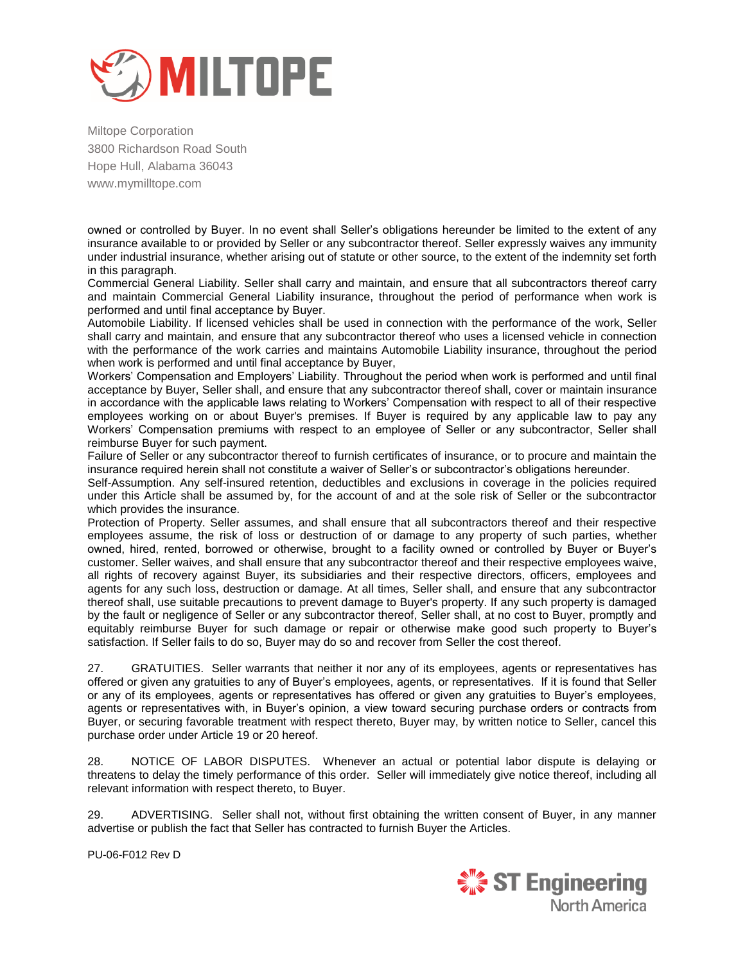

owned or controlled by Buyer. In no event shall Seller's obligations hereunder be limited to the extent of any insurance available to or provided by Seller or any subcontractor thereof. Seller expressly waives any immunity under industrial insurance, whether arising out of statute or other source, to the extent of the indemnity set forth in this paragraph.

Commercial General Liability. Seller shall carry and maintain, and ensure that all subcontractors thereof carry and maintain Commercial General Liability insurance, throughout the period of performance when work is performed and until final acceptance by Buyer.

Automobile Liability. If licensed vehicles shall be used in connection with the performance of the work, Seller shall carry and maintain, and ensure that any subcontractor thereof who uses a licensed vehicle in connection with the performance of the work carries and maintains Automobile Liability insurance, throughout the period when work is performed and until final acceptance by Buyer,

Workers' Compensation and Employers' Liability. Throughout the period when work is performed and until final acceptance by Buyer, Seller shall, and ensure that any subcontractor thereof shall, cover or maintain insurance in accordance with the applicable laws relating to Workers' Compensation with respect to all of their respective employees working on or about Buyer's premises. If Buyer is required by any applicable law to pay any Workers' Compensation premiums with respect to an employee of Seller or any subcontractor, Seller shall reimburse Buyer for such payment.

Failure of Seller or any subcontractor thereof to furnish certificates of insurance, or to procure and maintain the insurance required herein shall not constitute a waiver of Seller's or subcontractor's obligations hereunder.

Self-Assumption. Any self-insured retention, deductibles and exclusions in coverage in the policies required under this Article shall be assumed by, for the account of and at the sole risk of Seller or the subcontractor which provides the insurance.

Protection of Property. Seller assumes, and shall ensure that all subcontractors thereof and their respective employees assume, the risk of loss or destruction of or damage to any property of such parties, whether owned, hired, rented, borrowed or otherwise, brought to a facility owned or controlled by Buyer or Buyer's customer. Seller waives, and shall ensure that any subcontractor thereof and their respective employees waive, all rights of recovery against Buyer, its subsidiaries and their respective directors, officers, employees and agents for any such loss, destruction or damage. At all times, Seller shall, and ensure that any subcontractor thereof shall, use suitable precautions to prevent damage to Buyer's property. If any such property is damaged by the fault or negligence of Seller or any subcontractor thereof, Seller shall, at no cost to Buyer, promptly and equitably reimburse Buyer for such damage or repair or otherwise make good such property to Buyer's satisfaction. If Seller fails to do so, Buyer may do so and recover from Seller the cost thereof.

27. GRATUITIES. Seller warrants that neither it nor any of its employees, agents or representatives has offered or given any gratuities to any of Buyer's employees, agents, or representatives. If it is found that Seller or any of its employees, agents or representatives has offered or given any gratuities to Buyer's employees, agents or representatives with, in Buyer's opinion, a view toward securing purchase orders or contracts from Buyer, or securing favorable treatment with respect thereto, Buyer may, by written notice to Seller, cancel this purchase order under Article 19 or 20 hereof.

28. NOTICE OF LABOR DISPUTES. Whenever an actual or potential labor dispute is delaying or threatens to delay the timely performance of this order. Seller will immediately give notice thereof, including all relevant information with respect thereto, to Buyer.

29. ADVERTISING. Seller shall not, without first obtaining the written consent of Buyer, in any manner advertise or publish the fact that Seller has contracted to furnish Buyer the Articles.

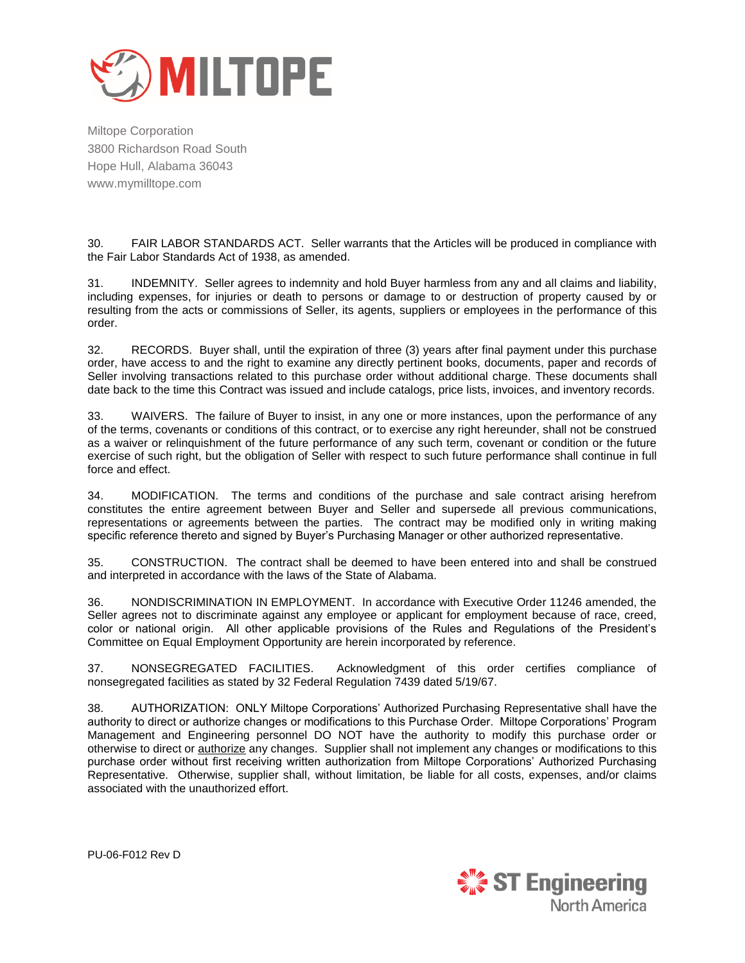

30. FAIR LABOR STANDARDS ACT. Seller warrants that the Articles will be produced in compliance with the Fair Labor Standards Act of 1938, as amended.

31. INDEMNITY. Seller agrees to indemnity and hold Buyer harmless from any and all claims and liability, including expenses, for injuries or death to persons or damage to or destruction of property caused by or resulting from the acts or commissions of Seller, its agents, suppliers or employees in the performance of this order.

32. RECORDS. Buyer shall, until the expiration of three (3) years after final payment under this purchase order, have access to and the right to examine any directly pertinent books, documents, paper and records of Seller involving transactions related to this purchase order without additional charge. These documents shall date back to the time this Contract was issued and include catalogs, price lists, invoices, and inventory records.

33. WAIVERS. The failure of Buyer to insist, in any one or more instances, upon the performance of any of the terms, covenants or conditions of this contract, or to exercise any right hereunder, shall not be construed as a waiver or relinquishment of the future performance of any such term, covenant or condition or the future exercise of such right, but the obligation of Seller with respect to such future performance shall continue in full force and effect.

34. MODIFICATION. The terms and conditions of the purchase and sale contract arising herefrom constitutes the entire agreement between Buyer and Seller and supersede all previous communications, representations or agreements between the parties. The contract may be modified only in writing making specific reference thereto and signed by Buyer's Purchasing Manager or other authorized representative.

35. CONSTRUCTION. The contract shall be deemed to have been entered into and shall be construed and interpreted in accordance with the laws of the State of Alabama.

36. NONDISCRIMINATION IN EMPLOYMENT. In accordance with Executive Order 11246 amended, the Seller agrees not to discriminate against any employee or applicant for employment because of race, creed, color or national origin. All other applicable provisions of the Rules and Regulations of the President's Committee on Equal Employment Opportunity are herein incorporated by reference.

37. NONSEGREGATED FACILITIES. Acknowledgment of this order certifies compliance of nonsegregated facilities as stated by 32 Federal Regulation 7439 dated 5/19/67.

38. AUTHORIZATION: ONLY Miltope Corporations' Authorized Purchasing Representative shall have the authority to direct or authorize changes or modifications to this Purchase Order. Miltope Corporations' Program Management and Engineering personnel DO NOT have the authority to modify this purchase order or otherwise to direct or authorize any changes. Supplier shall not implement any changes or modifications to this purchase order without first receiving written authorization from Miltope Corporations' Authorized Purchasing Representative. Otherwise, supplier shall, without limitation, be liable for all costs, expenses, and/or claims associated with the unauthorized effort.